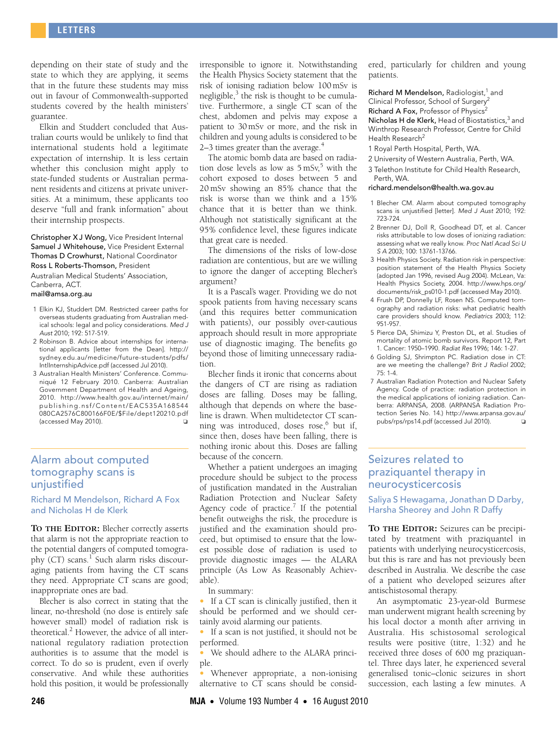depending on their state of study and the state to which they are applying, it seems that in the future these students may miss out in favour of Commonwealth-supported students covered by the health ministers' guarantee.

Elkin and Studdert concluded that Australian courts would be unlikely to find that international students hold a legitimate expectation of internship. It is less certain whether this conclusion might apply to state-funded students or Australian permanent residents and citizens at private universities. At a minimum, these applicants too deserve "full and frank information" about their internship prospects.

Christopher X J Wong, Vice President Internal Samuel J Whitehouse, Vice President External Thomas D Crowhurst, National Coordinator Ross L Roberts-Thomson, President

Australian Medical Students' Association, Canberra, ACT.

### mail@amsa.org.au

- 1 Elkin KJ, Studdert DM. Restricted career paths for overseas students graduating from Australian medical schools: legal and policy considerations. Med J Aust 2010; 192: 517-519.
- [2 Robinson B. Advice about internships for interna](http://sydney.edu.au/medicine/future-students/pdfs/IntlInternshipAdvice.pdf)tional applicants [letter from the Dean]. http:// sydney.edu.au/medicine/future-students/pdfs/ IntlInternshipAdvice.pdf (accessed Jul 2010).
- 3 Australian Health Ministers' Conference. Communiqué 12 February 2010. Canberra: Australian Government Department of Health and Ageing, 2010. http://www.health.gov.au/internet/main/ publishing.nsf/Content/EAC535A168544 080CA2576C800166F0E/\$File/dept120210.pdf (accessed May 2010).

## Alarm about computed tomography scans is unjustified

Richard M Mendelson, Richard A Fox and Nicholas H de Klerk

**TO THE EDITOR:** Blecher correctly asserts that alarm is not the appropriate reaction to the potential dangers of computed tomography (CT) scans.<sup>1</sup> Such alarm risks discouraging patients from having the CT scans they need. Appropriate CT scans are good; inappropriate ones are bad.

Blecher is also correct in stating that the linear, no-threshold (no dose is entirely safe however small) model of radiation risk is theoretical.<sup>2</sup> However, the advice of all international regulatory radiation protection authorities is to assume that the model is correct. To do so is prudent, even if overly conservative. And while these authorities hold this position, it would be professionally irresponsible to ignore it. Notwithstanding the Health Physics Society statement that the risk of ionising radiation below 100 mSv is negligible, $^3$  the risk is thought to be cumulative. Furthermore, a single CT scan of the chest, abdomen and pelvis may expose a patient to 30 mSv or more, and the risk in children and young adults is considered to be 2–3 times greater than the average.<sup>4</sup>

The atomic bomb data are based on radiation dose levels as low as  $5 \text{ mSv}^5$  with the cohort exposed to doses between 5 and 20 mSv showing an 85% chance that the risk is worse than we think and a 15% chance that it is better than we think. Although not statistically significant at the 95% confidence level, these figures indicate that great care is needed.

The dimensions of the risks of low-dose radiation are contentious, but are we willing to ignore the danger of accepting Blecher's argument?

It is a Pascal's wager. Providing we do not spook patients from having necessary scans (and this requires better communication with patients), our possibly over-cautious approach should result in more appropriate use of diagnostic imaging. The benefits go beyond those of limiting unnecessary radiation.

Blecher finds it ironic that concerns about the dangers of CT are rising as radiation doses are falling. Doses may be falling, although that depends on where the baseline is drawn. When multidetector CT scanning was introduced, doses rose,<sup>6</sup> but if, since then, doses have been falling, there is nothing ironic about this. Doses are falling because of the concern.

Whether a patient undergoes an imaging procedure should be subject to the process of justification mandated in the Australian Radiation Protection and Nuclear Safety Agency code of practice.<sup>7</sup> If the potential benefit outweighs the risk, the procedure is justified and the examination should proceed, but optimised to ensure that the lowest possible dose of radiation is used to provide diagnostic images — the ALARA principle (As Low As Reasonably Achievable).

In summary:

• If a CT scan is clinically justified, then it should be performed and we should certainly avoid alarming our patients.

• If a scan is not justified, it should not be performed.

We should adhere to the ALARA principle.

• Whenever appropriate, a non-ionising alternative to CT scans should be considered, particularly for children and young patients.

Richard M Mendelson, Radiologist,<sup>1</sup> and Clinical Professor, School of Surgery Richard A Fox, Professor of Physics<sup>2</sup> Nicholas H de Klerk, Head of Biostatistics,<sup>3</sup> and Winthrop Research Professor, Centre for Child Health Research<sup>2</sup>

- 1 Royal Perth Hospital, Perth, WA.
- 2 University of Western Australia, Perth, WA.
- 3 Telethon Institute for Child Health Research, Perth, WA.

#### richard.mendelson@health.wa.gov.au

- 1 Blecher CM. Alarm about computed tomography scans is unjustified [letter]. Med J Aust 2010; 192: 723-724.
- 2 Brenner DJ, Doll R, Goodhead DT, et al. Cancer risks attributable to low doses of ionizing radiation: assessing what we really know. Proc Natl Acad Sci U S A 2003; 100: 13761-13766.
- [3 Health Physics Society. Radiation risk in perspective:](http://www.hps.org/documents/risk_ps010-1.pdf) position statement of the Health Physics Society (adopted Jan 1996, revised Aug 2004). McLean, Va: Health Physics Society, 2004. http://www.hps.org/ documents/risk\_ps010-1.pdf (accessed May 2010).
- 4 Frush DP, Donnelly LF, Rosen NS. Computed tomography and radiation risks: what pediatric health care providers should know. Pediatrics 2003; 112: 951-957.
- 5 Pierce DA, Shimizu Y, Preston DL, et al. Studies of mortality of atomic bomb survivors. Report 12, Part 1. Cancer: 1950–1990. Radiat Res 1996; 146: 1-27.
- 6 Golding SJ, Shrimpton PC. Radiation dose in CT: are we meeting the challenge? Brit J Radiol 2002; 75: 1-4.
- 7 Australian Radiation Protection and Nuclear Safety Agency. Code of practice: radiation protection in the medical applications of ionizing radiation. Canberra: ARPANSA, 2008. (ARPANSA Radiation Protection Series No. 14.) http://www.arpansa.gov.au/ pubs/rps/rps14.pdf (accessed Jul 2010). ❏

# Seizures related to praziquantel therapy in neurocysticercosis

Saliya S Hewagama, Jonathan D Darby, Harsha Sheorey and John R Daffy

**TO THE EDITOR:** Seizures can be precipitated by treatment with praziquantel in patients with underlying neurocysticercosis, but this is rare and has not previously been described in Australia. We describe the case of a patient who developed seizures after antischistosomal therapy.

An asymptomatic 23-year-old Burmese man underwent migrant health screening by his local doctor a month after arriving in Australia. His schistosomal serological results were positive (titre, 1:32) and he received three doses of 600 mg praziquantel. Three days later, he experienced several generalised tonic–clonic seizures in short succession, each lasting a few minutes. A